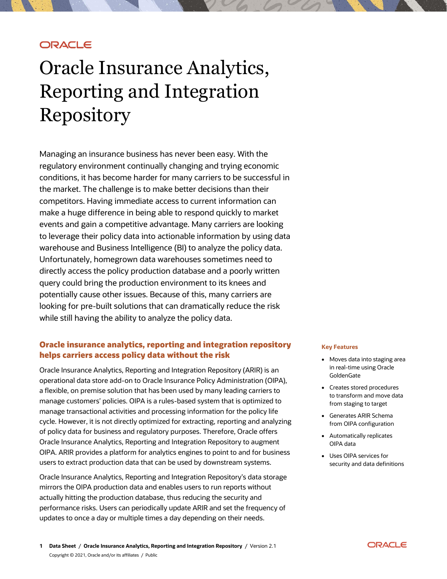## **ORACLE**

# Oracle Insurance Analytics, Reporting and Integration Repository

Managing an insurance business has never been easy. With the regulatory environment continually changing and trying economic conditions, it has become harder for many carriers to be successful in the market. The challenge is to make better decisions than their competitors. Having immediate access to current information can make a huge difference in being able to respond quickly to market events and gain a competitive advantage. Many carriers are looking to leverage their policy data into actionable information by using data warehouse and Business Intelligence (BI) to analyze the policy data. Unfortunately, homegrown data warehouses sometimes need to directly access the policy production database and a poorly written query could bring the production environment to its knees and potentially cause other issues. Because of this, many carriers are looking for pre-built solutions that can dramatically reduce the risk while still having the ability to analyze the policy data.

## **Oracle insurance analytics, reporting and integration repository helps carriers access policy data without the risk**

Oracle Insurance Analytics, Reporting and Integration Repository (ARIR) is an operational data store add-on to Oracle Insurance Policy Administration (OIPA), a flexible, on premise solution that has been used by many leading carriers to manage customers' policies. OIPA is a rules-based system that is optimized to manage transactional activities and processing information for the policy life cycle. However, it is not directly optimized for extracting, reporting and analyzing of policy data for business and regulatory purposes. Therefore, Oracle offers Oracle Insurance Analytics, Reporting and Integration Repository to augment OIPA. ARIR provides a platform for analytics engines to point to and for business users to extract production data that can be used by downstream systems.

Oracle Insurance Analytics, Reporting and Integration Repository's data storage mirrors the OIPA production data and enables users to run reports without actually hitting the production database, thus reducing the security and performance risks. Users can periodically update ARIR and set the frequency of updates to once a day or multiple times a day depending on their needs.

#### **Key Features**

- Moves data into staging area in real-time using Oracle **GoldenGate**
- Creates stored procedures to transform and move data from staging to target
- Generates ARIR Schema from OIPA configuration
- Automatically replicates OIPA data
- Uses OIPA services for security and data definitions

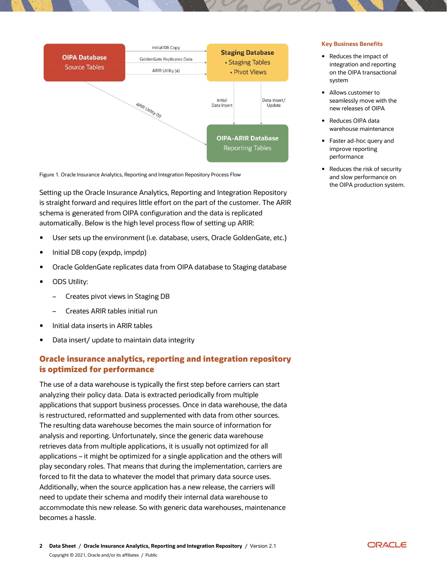

Figure 1. Oracle Insurance Analytics, Reporting and Integration Repository Process Flow

Setting up the Oracle Insurance Analytics, Reporting and Integration Repository is straight forward and requires little effort on the part of the customer. The ARIR schema is generated from OIPA configuration and the data is replicated automatically. Below is the high level process flow of setting up ARIR:

- User sets up the environment (i.e. database, users, Oracle GoldenGate, etc.)
- Initial DB copy (expdp, impdp)
- Oracle GoldenGate replicates data from OIPA database to Staging database
- ODS Utility:
	- Creates pivot views in Staging DB
	- Creates ARIR tables initial run
- Initial data inserts in ARIR tables
- Data insert/ update to maintain data integrity

## **Oracle insurance analytics, reporting and integration repository is optimized for performance**

The use of a data warehouse is typically the first step before carriers can start analyzing their policy data. Data is extracted periodically from multiple applications that support business processes. Once in data warehouse, the data is restructured, reformatted and supplemented with data from other sources. The resulting data warehouse becomes the main source of information for analysis and reporting. Unfortunately, since the generic data warehouse retrieves data from multiple applications, it is usually not optimized for all applications – it might be optimized for a single application and the others will play secondary roles. That means that during the implementation, carriers are forced to fit the data to whatever the model that primary data source uses. Additionally, when the source application has a new release, the carriers will need to update their schema and modify their internal data warehouse to accommodate this new release. So with generic data warehouses, maintenance becomes a hassle.

- Reduces the impact of integration and reporting on the OIPA transactional system
- Allows customer to seamlessly move with the new releases of OIPA
- Reduces OIPA data warehouse maintenance
- Faster ad-hoc query and improve reporting performance
- Reduces the risk of security and slow performance on the OIPA production system.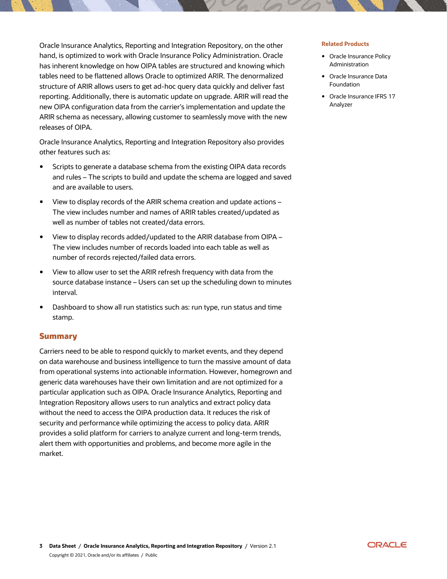Oracle Insurance Analytics, Reporting and Integration Repository, on the other hand, is optimized to work with Oracle Insurance Policy Administration. Oracle has inherent knowledge on how OIPA tables are structured and knowing which tables need to be flattened allows Oracle to optimized ARIR. The denormalized structure of ARIR allows users to get ad-hoc query data quickly and deliver fast reporting. Additionally, there is automatic update on upgrade. ARIR will read the new OIPA configuration data from the carrier's implementation and update the ARIR schema as necessary, allowing customer to seamlessly move with the new releases of OIPA.

Oracle Insurance Analytics, Reporting and Integration Repository also provides other features such as:

- Scripts to generate a database schema from the existing OIPA data records and rules – The scripts to build and update the schema are logged and saved and are available to users.
- View to display records of the ARIR schema creation and update actions The view includes number and names of ARIR tables created/updated as well as number of tables not created/data errors.
- View to display records added/updated to the ARIR database from OIPA The view includes number of records loaded into each table as well as number of records rejected/failed data errors.
- View to allow user to set the ARIR refresh frequency with data from the source database instance – Users can set up the scheduling down to minutes interval.
- Dashboard to show all run statistics such as: run type, run status and time stamp.

### **Summary**

Carriers need to be able to respond quickly to market events, and they depend on data warehouse and business intelligence to turn the massive amount of data from operational systems into actionable information. However, homegrown and generic data warehouses have their own limitation and are not optimized for a particular application such as OIPA. Oracle Insurance Analytics, Reporting and Integration Repository allows users to run analytics and extract policy data without the need to access the OIPA production data. It reduces the risk of security and performance while optimizing the access to policy data. ARIR provides a solid platform for carriers to analyze current and long-term trends, alert them with opportunities and problems, and become more agile in the market.

#### **Related Products**

- Oracle Insurance Policy Administration
- Oracle Insurance Data Foundation
- Oracle Insurance IFRS 17 Analyzer